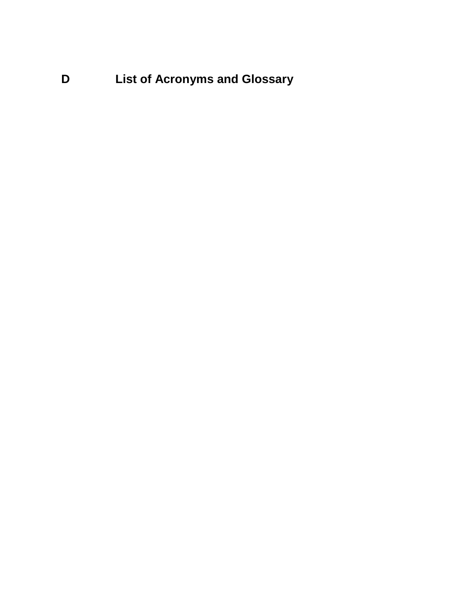**D List of Acronyms and Glossary**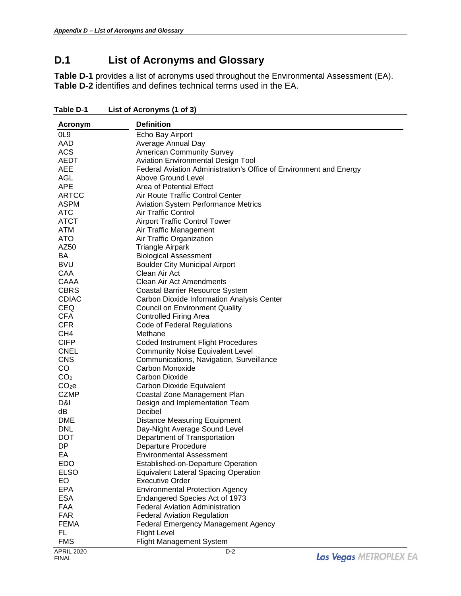## **D.1 List of Acronyms and Glossary**

**Table D-1** provides a list of acronyms used throughout the Environmental Assessment (EA). **Table D-2** identifies and defines technical terms used in the EA.

| Acronym           | <b>Definition</b>                                                  |
|-------------------|--------------------------------------------------------------------|
| OL <sub>9</sub>   | Echo Bay Airport                                                   |
| AAD               | Average Annual Day                                                 |
| <b>ACS</b>        | <b>American Community Survey</b>                                   |
| AEDT              | <b>Aviation Environmental Design Tool</b>                          |
| <b>AEE</b>        | Federal Aviation Administration's Office of Environment and Energy |
| <b>AGL</b>        | Above Ground Level                                                 |
| <b>APE</b>        | Area of Potential Effect                                           |
| <b>ARTCC</b>      | Air Route Traffic Control Center                                   |
| <b>ASPM</b>       | <b>Aviation System Performance Metrics</b>                         |
| <b>ATC</b>        | Air Traffic Control                                                |
| <b>ATCT</b>       | <b>Airport Traffic Control Tower</b>                               |
| <b>ATM</b>        | Air Traffic Management                                             |
| <b>ATO</b>        | Air Traffic Organization                                           |
| AZ50              | <b>Triangle Airpark</b>                                            |
| BA                | <b>Biological Assessment</b>                                       |
| <b>BVU</b>        | <b>Boulder City Municipal Airport</b>                              |
| CAA               | Clean Air Act                                                      |
| CAAA              | <b>Clean Air Act Amendments</b>                                    |
| <b>CBRS</b>       | <b>Coastal Barrier Resource System</b>                             |
| <b>CDIAC</b>      | Carbon Dioxide Information Analysis Center                         |
| <b>CEQ</b>        | <b>Council on Environment Quality</b>                              |
| <b>CFA</b>        | <b>Controlled Firing Area</b>                                      |
| <b>CFR</b>        | Code of Federal Regulations                                        |
| CH <sub>4</sub>   | Methane                                                            |
| <b>CIFP</b>       | <b>Coded Instrument Flight Procedures</b>                          |
| <b>CNEL</b>       | <b>Community Noise Equivalent Level</b>                            |
| <b>CNS</b>        | Communications, Navigation, Surveillance                           |
| CO                | Carbon Monoxide                                                    |
| CO <sub>2</sub>   | <b>Carbon Dioxide</b>                                              |
| CO <sub>2</sub> e | Carbon Dioxide Equivalent                                          |
| <b>CZMP</b>       | Coastal Zone Management Plan                                       |
| D&I               | Design and Implementation Team                                     |
| dB                | Decibel                                                            |
| <b>DME</b>        | <b>Distance Measuring Equipment</b>                                |
| <b>DNL</b>        | Day-Night Average Sound Level                                      |
| <b>DOT</b>        | Department of Transportation                                       |
| DP                | Departure Procedure                                                |
| EA                | <b>Environmental Assessment</b>                                    |
| EDO.              | <b>Established-on-Departure Operation</b>                          |
| <b>ELSO</b>       | <b>Equivalent Lateral Spacing Operation</b>                        |
| EO                | <b>Executive Order</b>                                             |
| <b>EPA</b>        | <b>Environmental Protection Agency</b>                             |
| <b>ESA</b>        | Endangered Species Act of 1973                                     |
| <b>FAA</b>        | <b>Federal Aviation Administration</b>                             |
| <b>FAR</b>        |                                                                    |
|                   | <b>Federal Aviation Regulation</b>                                 |
| <b>FEMA</b>       | Federal Emergency Management Agency                                |
| FL<br><b>FMS</b>  | <b>Flight Level</b>                                                |
|                   | <b>Flight Management System</b>                                    |
| <b>APRIL 2020</b> | $D-2$                                                              |

**Table D-1 List of Acronyms (1 of 3)**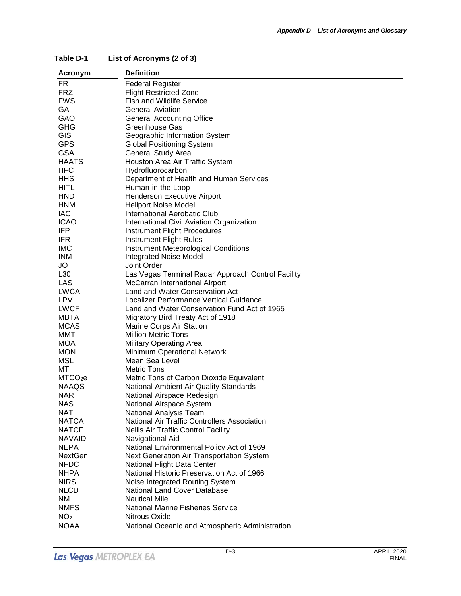| Acronym             | <b>Definition</b>                                  |
|---------------------|----------------------------------------------------|
| FR.                 | <b>Federal Register</b>                            |
| <b>FRZ</b>          | <b>Flight Restricted Zone</b>                      |
| <b>FWS</b>          | <b>Fish and Wildlife Service</b>                   |
| GA                  | <b>General Aviation</b>                            |
| GAO                 | <b>General Accounting Office</b>                   |
| <b>GHG</b>          | Greenhouse Gas                                     |
| <b>GIS</b>          | Geographic Information System                      |
| <b>GPS</b>          | <b>Global Positioning System</b>                   |
| <b>GSA</b>          | <b>General Study Area</b>                          |
| <b>HAATS</b>        | Houston Area Air Traffic System                    |
| <b>HFC</b>          | Hydrofluorocarbon                                  |
| <b>HHS</b>          | Department of Health and Human Services            |
| <b>HITL</b>         | Human-in-the-Loop                                  |
| <b>HND</b>          | <b>Henderson Executive Airport</b>                 |
| <b>HNM</b>          | <b>Heliport Noise Model</b>                        |
| <b>IAC</b>          | International Aerobatic Club                       |
| <b>ICAO</b>         | <b>International Civil Aviation Organization</b>   |
| <b>IFP</b>          | <b>Instrument Flight Procedures</b>                |
| IFR.                | <b>Instrument Flight Rules</b>                     |
| <b>IMC</b>          | <b>Instrument Meteorological Conditions</b>        |
| <b>INM</b>          | <b>Integrated Noise Model</b>                      |
| JO                  | Joint Order                                        |
| L30                 | Las Vegas Terminal Radar Approach Control Facility |
| <b>LAS</b>          | McCarran International Airport                     |
| <b>LWCA</b>         | Land and Water Conservation Act                    |
| <b>LPV</b>          | Localizer Performance Vertical Guidance            |
| <b>LWCF</b>         | Land and Water Conservation Fund Act of 1965       |
| <b>MBTA</b>         | Migratory Bird Treaty Act of 1918                  |
| <b>MCAS</b>         | Marine Corps Air Station                           |
| MMT                 | <b>Million Metric Tons</b>                         |
| <b>MOA</b>          | <b>Military Operating Area</b>                     |
| <b>MON</b>          | Minimum Operational Network                        |
| <b>MSL</b>          | Mean Sea Level                                     |
| МT                  | <b>Metric Tons</b>                                 |
| MTCO <sub>2</sub> e | Metric Tons of Carbon Dioxide Equivalent           |
| <b>NAAQS</b>        | National Ambient Air Quality Standards             |
| <b>NAR</b>          | National Airspace Redesign                         |
| <b>NAS</b>          | National Airspace System                           |
| <b>NAT</b>          | National Analysis Team                             |
| <b>NATCA</b>        | National Air Traffic Controllers Association       |
| <b>NATCF</b>        | <b>Nellis Air Traffic Control Facility</b>         |
| <b>NAVAID</b>       | Navigational Aid                                   |
| <b>NEPA</b>         | National Environmental Policy Act of 1969          |
| <b>NextGen</b>      | Next Generation Air Transportation System          |
| <b>NFDC</b>         | National Flight Data Center                        |
| <b>NHPA</b>         | National Historic Preservation Act of 1966         |
| <b>NIRS</b>         | Noise Integrated Routing System                    |
| <b>NLCD</b>         | National Land Cover Database                       |
| ΝM                  | <b>Nautical Mile</b>                               |
| <b>NMFS</b>         | <b>National Marine Fisheries Service</b>           |
| NO <sub>2</sub>     | Nitrous Oxide                                      |
| <b>NOAA</b>         | National Oceanic and Atmospheric Administration    |
|                     |                                                    |

**Table D-1 List of Acronyms (2 of 3)**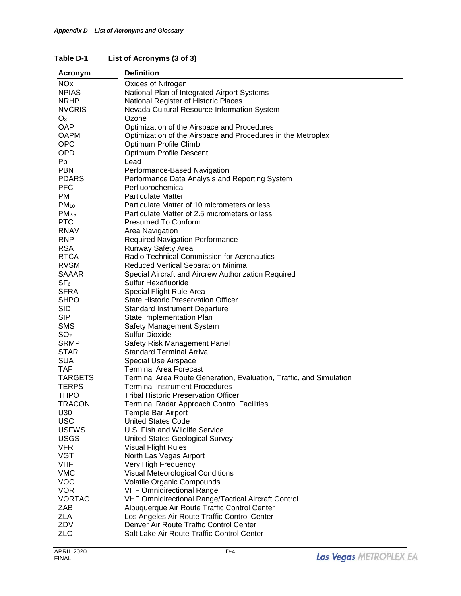| Acronym               | <b>Definition</b>                                                   |
|-----------------------|---------------------------------------------------------------------|
| <b>NO<sub>x</sub></b> | Oxides of Nitrogen                                                  |
| <b>NPIAS</b>          | National Plan of Integrated Airport Systems                         |
| <b>NRHP</b>           | National Register of Historic Places                                |
| <b>NVCRIS</b>         | Nevada Cultural Resource Information System                         |
| $O_3$                 | Ozone                                                               |
| <b>OAP</b>            | Optimization of the Airspace and Procedures                         |
| <b>OAPM</b>           |                                                                     |
|                       | Optimization of the Airspace and Procedures in the Metroplex        |
| <b>OPC</b>            | Optimum Profile Climb                                               |
| <b>OPD</b>            | <b>Optimum Profile Descent</b>                                      |
| Pb                    | Lead                                                                |
| <b>PBN</b>            | Performance-Based Navigation                                        |
| <b>PDARS</b>          | Performance Data Analysis and Reporting System                      |
| <b>PFC</b>            | Perfluorochemical                                                   |
| <b>PM</b>             | <b>Particulate Matter</b>                                           |
| $PM_{10}$             | Particulate Matter of 10 micrometers or less                        |
| PM <sub>2.5</sub>     | Particulate Matter of 2.5 micrometers or less                       |
| <b>PTC</b>            | <b>Presumed To Conform</b>                                          |
| <b>RNAV</b>           | Area Navigation                                                     |
| <b>RNP</b>            | <b>Required Navigation Performance</b>                              |
| <b>RSA</b>            | Runway Safety Area                                                  |
| <b>RTCA</b>           | Radio Technical Commission for Aeronautics                          |
| <b>RVSM</b>           | <b>Reduced Vertical Separation Minima</b>                           |
| <b>SAAAR</b>          | Special Aircraft and Aircrew Authorization Required                 |
| SF <sub>6</sub>       | <b>Sulfur Hexafluoride</b>                                          |
| <b>SFRA</b>           | Special Flight Rule Area                                            |
| <b>SHPO</b>           | <b>State Historic Preservation Officer</b>                          |
| <b>SID</b>            | <b>Standard Instrument Departure</b>                                |
| <b>SIP</b>            | State Implementation Plan                                           |
| <b>SMS</b>            | Safety Management System                                            |
| SO <sub>2</sub>       | Sulfur Dioxide                                                      |
| <b>SRMP</b>           | Safety Risk Management Panel                                        |
| <b>STAR</b>           | <b>Standard Terminal Arrival</b>                                    |
| <b>SUA</b>            | <b>Special Use Airspace</b>                                         |
| <b>TAF</b>            | <b>Terminal Area Forecast</b>                                       |
| <b>TARGETS</b>        | Terminal Area Route Generation, Evaluation, Traffic, and Simulation |
| <b>TERPS</b>          | <b>Terminal Instrument Procedures</b>                               |
| <b>THPO</b>           | <b>Tribal Historic Preservation Officer</b>                         |
| TRACON                | Terminal Radar Approach Control Facilities                          |
| U30                   | Temple Bar Airport                                                  |
| <b>USC</b>            | <b>United States Code</b>                                           |
| <b>USFWS</b>          | U.S. Fish and Wildlife Service                                      |
| <b>USGS</b>           | <b>United States Geological Survey</b>                              |
| <b>VFR</b>            | <b>Visual Flight Rules</b>                                          |
| <b>VGT</b>            | North Las Vegas Airport                                             |
| <b>VHF</b>            | Very High Frequency                                                 |
| <b>VMC</b>            | Visual Meteorological Conditions                                    |
| <b>VOC</b>            | <b>Volatile Organic Compounds</b>                                   |
| <b>VOR</b>            | <b>VHF Omnidirectional Range</b>                                    |
| <b>VORTAC</b>         | VHF Omnidirectional Range/Tactical Aircraft Control                 |
| ZAB                   | Albuquerque Air Route Traffic Control Center                        |
| <b>ZLA</b>            | Los Angeles Air Route Traffic Control Center                        |
| ZDV                   | Denver Air Route Traffic Control Center                             |
| <b>ZLC</b>            | Salt Lake Air Route Traffic Control Center                          |
|                       |                                                                     |

**Table D-1 List of Acronyms (3 of 3)**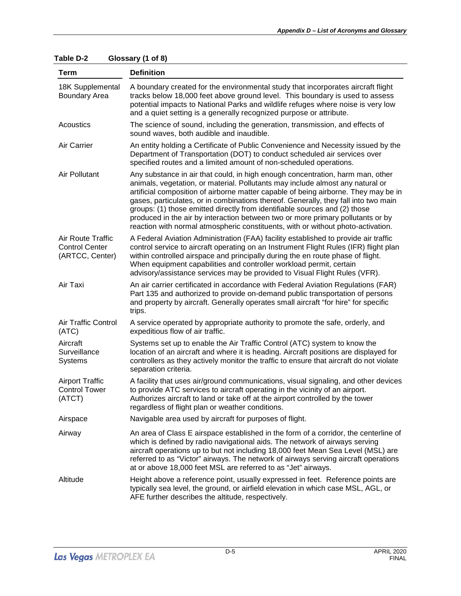| <b>Term</b>                                                   | <b>Definition</b>                                                                                                                                                                                                                                                                                                                                                                                                                                                                                                                                                                                   |
|---------------------------------------------------------------|-----------------------------------------------------------------------------------------------------------------------------------------------------------------------------------------------------------------------------------------------------------------------------------------------------------------------------------------------------------------------------------------------------------------------------------------------------------------------------------------------------------------------------------------------------------------------------------------------------|
| 18K Supplemental<br><b>Boundary Area</b>                      | A boundary created for the environmental study that incorporates aircraft flight<br>tracks below 18,000 feet above ground level. This boundary is used to assess<br>potential impacts to National Parks and wildlife refuges where noise is very low<br>and a quiet setting is a generally recognized purpose or attribute.                                                                                                                                                                                                                                                                         |
| Acoustics                                                     | The science of sound, including the generation, transmission, and effects of<br>sound waves, both audible and inaudible.                                                                                                                                                                                                                                                                                                                                                                                                                                                                            |
| Air Carrier                                                   | An entity holding a Certificate of Public Convenience and Necessity issued by the<br>Department of Transportation (DOT) to conduct scheduled air services over<br>specified routes and a limited amount of non-scheduled operations.                                                                                                                                                                                                                                                                                                                                                                |
| Air Pollutant                                                 | Any substance in air that could, in high enough concentration, harm man, other<br>animals, vegetation, or material. Pollutants may include almost any natural or<br>artificial composition of airborne matter capable of being airborne. They may be in<br>gases, particulates, or in combinations thereof. Generally, they fall into two main<br>groups: (1) those emitted directly from identifiable sources and (2) those<br>produced in the air by interaction between two or more primary pollutants or by<br>reaction with normal atmospheric constituents, with or without photo-activation. |
| Air Route Traffic<br><b>Control Center</b><br>(ARTCC, Center) | A Federal Aviation Administration (FAA) facility established to provide air traffic<br>control service to aircraft operating on an Instrument Flight Rules (IFR) flight plan<br>within controlled airspace and principally during the en route phase of flight.<br>When equipment capabilities and controller workload permit, certain<br>advisory/assistance services may be provided to Visual Flight Rules (VFR).                                                                                                                                                                                |
| Air Taxi                                                      | An air carrier certificated in accordance with Federal Aviation Regulations (FAR)<br>Part 135 and authorized to provide on-demand public transportation of persons<br>and property by aircraft. Generally operates small aircraft "for hire" for specific<br>trips.                                                                                                                                                                                                                                                                                                                                 |
| Air Traffic Control<br>(ATC)                                  | A service operated by appropriate authority to promote the safe, orderly, and<br>expeditious flow of air traffic.                                                                                                                                                                                                                                                                                                                                                                                                                                                                                   |
| Aircraft<br>Surveillance<br>Systems                           | Systems set up to enable the Air Traffic Control (ATC) system to know the<br>location of an aircraft and where it is heading. Aircraft positions are displayed for<br>controllers as they actively monitor the traffic to ensure that aircraft do not violate<br>separation criteria.                                                                                                                                                                                                                                                                                                               |
| <b>Airport Traffic</b><br><b>Control Tower</b><br>(ATCT)      | A facility that uses air/ground communications, visual signaling, and other devices<br>to provide ATC services to aircraft operating in the vicinity of an airport.<br>Authorizes aircraft to land or take off at the airport controlled by the tower<br>regardless of flight plan or weather conditions.                                                                                                                                                                                                                                                                                           |
| Airspace                                                      | Navigable area used by aircraft for purposes of flight.                                                                                                                                                                                                                                                                                                                                                                                                                                                                                                                                             |
| Airway                                                        | An area of Class E airspace established in the form of a corridor, the centerline of<br>which is defined by radio navigational aids. The network of airways serving<br>aircraft operations up to but not including 18,000 feet Mean Sea Level (MSL) are<br>referred to as "Victor" airways. The network of airways serving aircraft operations<br>at or above 18,000 feet MSL are referred to as "Jet" airways.                                                                                                                                                                                     |
| Altitude                                                      | Height above a reference point, usually expressed in feet. Reference points are<br>typically sea level, the ground, or airfield elevation in which case MSL, AGL, or<br>AFE further describes the altitude, respectively.                                                                                                                                                                                                                                                                                                                                                                           |

**Table D-2 Glossary (1 of 8)**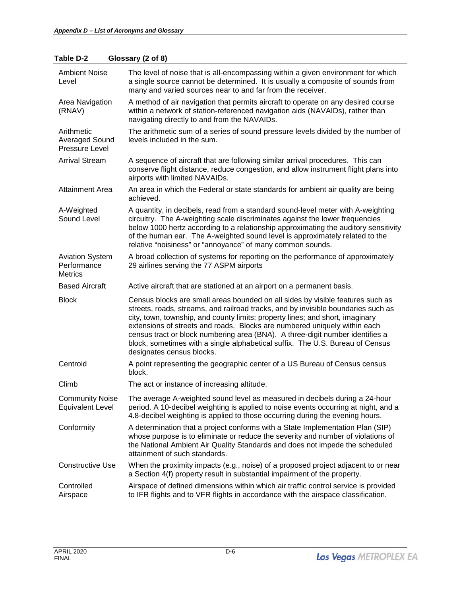| <b>Ambient Noise</b><br>Level                           | The level of noise that is all-encompassing within a given environment for which<br>a single source cannot be determined. It is usually a composite of sounds from<br>many and varied sources near to and far from the receiver.                                                                                                                                                                                                                                                                                                 |
|---------------------------------------------------------|----------------------------------------------------------------------------------------------------------------------------------------------------------------------------------------------------------------------------------------------------------------------------------------------------------------------------------------------------------------------------------------------------------------------------------------------------------------------------------------------------------------------------------|
| Area Navigation<br>(RNAV)                               | A method of air navigation that permits aircraft to operate on any desired course<br>within a network of station-referenced navigation aids (NAVAIDs), rather than<br>navigating directly to and from the NAVAIDs.                                                                                                                                                                                                                                                                                                               |
| Arithmetic<br><b>Averaged Sound</b><br>Pressure Level   | The arithmetic sum of a series of sound pressure levels divided by the number of<br>levels included in the sum.                                                                                                                                                                                                                                                                                                                                                                                                                  |
| <b>Arrival Stream</b>                                   | A sequence of aircraft that are following similar arrival procedures. This can<br>conserve flight distance, reduce congestion, and allow instrument flight plans into<br>airports with limited NAVAIDs.                                                                                                                                                                                                                                                                                                                          |
| <b>Attainment Area</b>                                  | An area in which the Federal or state standards for ambient air quality are being<br>achieved.                                                                                                                                                                                                                                                                                                                                                                                                                                   |
| A-Weighted<br>Sound Level                               | A quantity, in decibels, read from a standard sound-level meter with A-weighting<br>circuitry. The A-weighting scale discriminates against the lower frequencies<br>below 1000 hertz according to a relationship approximating the auditory sensitivity<br>of the human ear. The A-weighted sound level is approximately related to the<br>relative "noisiness" or "annoyance" of many common sounds.                                                                                                                            |
| <b>Aviation System</b><br>Performance<br><b>Metrics</b> | A broad collection of systems for reporting on the performance of approximately<br>29 airlines serving the 77 ASPM airports                                                                                                                                                                                                                                                                                                                                                                                                      |
| <b>Based Aircraft</b>                                   | Active aircraft that are stationed at an airport on a permanent basis.                                                                                                                                                                                                                                                                                                                                                                                                                                                           |
| <b>Block</b>                                            | Census blocks are small areas bounded on all sides by visible features such as<br>streets, roads, streams, and railroad tracks, and by invisible boundaries such as<br>city, town, township, and county limits; property lines; and short, imaginary<br>extensions of streets and roads. Blocks are numbered uniquely within each<br>census tract or block numbering area (BNA). A three-digit number identifies a<br>block, sometimes with a single alphabetical suffix. The U.S. Bureau of Census<br>designates census blocks. |
| Centroid                                                | A point representing the geographic center of a US Bureau of Census census<br>block.                                                                                                                                                                                                                                                                                                                                                                                                                                             |
| Climb                                                   | The act or instance of increasing altitude.                                                                                                                                                                                                                                                                                                                                                                                                                                                                                      |
| <b>Community Noise</b><br><b>Equivalent Level</b>       | The average A-weighted sound level as measured in decibels during a 24-hour<br>period. A 10-decibel weighting is applied to noise events occurring at night, and a<br>4.8-decibel weighting is applied to those occurring during the evening hours.                                                                                                                                                                                                                                                                              |
| Conformity                                              | A determination that a project conforms with a State Implementation Plan (SIP)<br>whose purpose is to eliminate or reduce the severity and number of violations of<br>the National Ambient Air Quality Standards and does not impede the scheduled<br>attainment of such standards.                                                                                                                                                                                                                                              |
| <b>Constructive Use</b>                                 | When the proximity impacts (e.g., noise) of a proposed project adjacent to or near                                                                                                                                                                                                                                                                                                                                                                                                                                               |
|                                                         | a Section 4(f) property result in substantial impairment of the property.                                                                                                                                                                                                                                                                                                                                                                                                                                                        |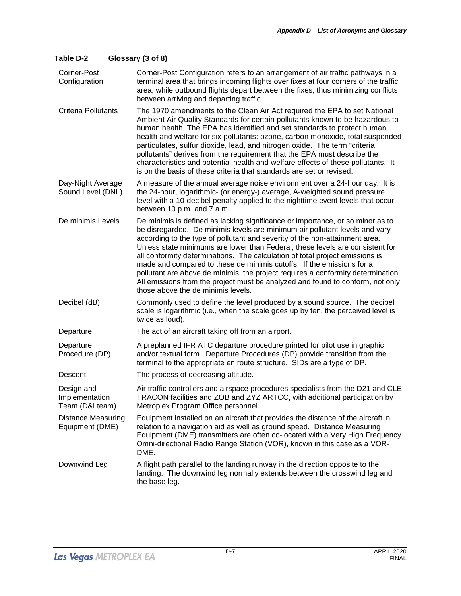| Corner-Post<br>Configuration                    | Corner-Post Configuration refers to an arrangement of air traffic pathways in a<br>terminal area that brings incoming flights over fixes at four corners of the traffic<br>area, while outbound flights depart between the fixes, thus minimizing conflicts<br>between arriving and departing traffic.                                                                                                                                                                                                                                                                                                                                                                                             |
|-------------------------------------------------|----------------------------------------------------------------------------------------------------------------------------------------------------------------------------------------------------------------------------------------------------------------------------------------------------------------------------------------------------------------------------------------------------------------------------------------------------------------------------------------------------------------------------------------------------------------------------------------------------------------------------------------------------------------------------------------------------|
| Criteria Pollutants                             | The 1970 amendments to the Clean Air Act required the EPA to set National<br>Ambient Air Quality Standards for certain pollutants known to be hazardous to<br>human health. The EPA has identified and set standards to protect human<br>health and welfare for six pollutants: ozone, carbon monoxide, total suspended<br>particulates, sulfur dioxide, lead, and nitrogen oxide. The term "criteria<br>pollutants" derives from the requirement that the EPA must describe the<br>characteristics and potential health and welfare effects of these pollutants. It<br>is on the basis of these criteria that standards are set or revised.                                                       |
| Day-Night Average<br>Sound Level (DNL)          | A measure of the annual average noise environment over a 24-hour day. It is<br>the 24-hour, logarithmic- (or energy-) average, A-weighted sound pressure<br>level with a 10-decibel penalty applied to the nighttime event levels that occur<br>between 10 p.m. and 7 a.m.                                                                                                                                                                                                                                                                                                                                                                                                                         |
| De minimis Levels                               | De minimis is defined as lacking significance or importance, or so minor as to<br>be disregarded. De minimis levels are minimum air pollutant levels and vary<br>according to the type of pollutant and severity of the non-attainment area.<br>Unless state minimums are lower than Federal, these levels are consistent for<br>all conformity determinations. The calculation of total project emissions is<br>made and compared to these de minimis cutoffs. If the emissions for a<br>pollutant are above de minimis, the project requires a conformity determination.<br>All emissions from the project must be analyzed and found to conform, not only<br>those above the de minimis levels. |
| Decibel (dB)                                    | Commonly used to define the level produced by a sound source. The decibel<br>scale is logarithmic (i.e., when the scale goes up by ten, the perceived level is<br>twice as loud).                                                                                                                                                                                                                                                                                                                                                                                                                                                                                                                  |
| Departure                                       | The act of an aircraft taking off from an airport.                                                                                                                                                                                                                                                                                                                                                                                                                                                                                                                                                                                                                                                 |
| Departure<br>Procedure (DP)                     | A preplanned IFR ATC departure procedure printed for pilot use in graphic<br>and/or textual form. Departure Procedures (DP) provide transition from the<br>terminal to the appropriate en route structure. SIDs are a type of DP.                                                                                                                                                                                                                                                                                                                                                                                                                                                                  |
| Descent                                         | The process of decreasing altitude.                                                                                                                                                                                                                                                                                                                                                                                                                                                                                                                                                                                                                                                                |
| Design and<br>Implementation<br>Team (D&I team) | Air traffic controllers and airspace procedures specialists from the D21 and CLE<br>TRACON facilities and ZOB and ZYZ ARTCC, with additional participation by<br>Metroplex Program Office personnel.                                                                                                                                                                                                                                                                                                                                                                                                                                                                                               |
| Distance Measuring<br>Equipment (DME)           | Equipment installed on an aircraft that provides the distance of the aircraft in<br>relation to a navigation aid as well as ground speed. Distance Measuring<br>Equipment (DME) transmitters are often co-located with a Very High Frequency<br>Omni-directional Radio Range Station (VOR), known in this case as a VOR-<br>DME.                                                                                                                                                                                                                                                                                                                                                                   |
| Downwind Leg                                    | A flight path parallel to the landing runway in the direction opposite to the<br>landing. The downwind leg normally extends between the crosswind leg and<br>the base leg.                                                                                                                                                                                                                                                                                                                                                                                                                                                                                                                         |

**Table D-2 Glossary (3 of 8)**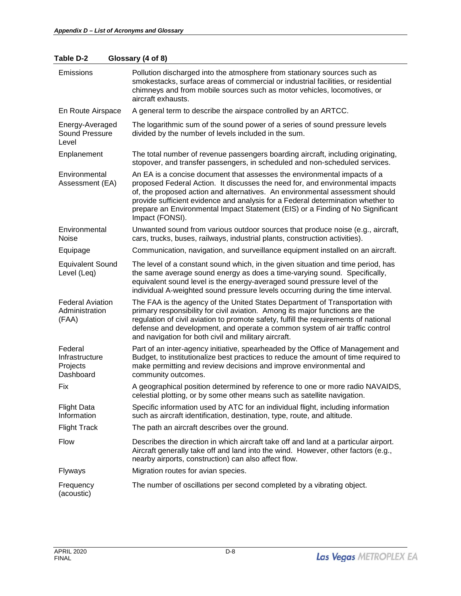| Table D-2 | Glossary (4 of 8) |
|-----------|-------------------|
|-----------|-------------------|

| Emissions                                          | Pollution discharged into the atmosphere from stationary sources such as<br>smokestacks, surface areas of commercial or industrial facilities, or residential<br>chimneys and from mobile sources such as motor vehicles, locomotives, or<br>aircraft exhausts.                                                                                                                                                                   |
|----------------------------------------------------|-----------------------------------------------------------------------------------------------------------------------------------------------------------------------------------------------------------------------------------------------------------------------------------------------------------------------------------------------------------------------------------------------------------------------------------|
| En Route Airspace                                  | A general term to describe the airspace controlled by an ARTCC.                                                                                                                                                                                                                                                                                                                                                                   |
| Energy-Averaged<br>Sound Pressure<br>Level         | The logarithmic sum of the sound power of a series of sound pressure levels<br>divided by the number of levels included in the sum.                                                                                                                                                                                                                                                                                               |
| Enplanement                                        | The total number of revenue passengers boarding aircraft, including originating,<br>stopover, and transfer passengers, in scheduled and non-scheduled services.                                                                                                                                                                                                                                                                   |
| Environmental<br>Assessment (EA)                   | An EA is a concise document that assesses the environmental impacts of a<br>proposed Federal Action. It discusses the need for, and environmental impacts<br>of, the proposed action and alternatives. An environmental assessment should<br>provide sufficient evidence and analysis for a Federal determination whether to<br>prepare an Environmental Impact Statement (EIS) or a Finding of No Significant<br>Impact (FONSI). |
| Environmental<br>Noise                             | Unwanted sound from various outdoor sources that produce noise (e.g., aircraft,<br>cars, trucks, buses, railways, industrial plants, construction activities).                                                                                                                                                                                                                                                                    |
| Equipage                                           | Communication, navigation, and surveillance equipment installed on an aircraft.                                                                                                                                                                                                                                                                                                                                                   |
| <b>Equivalent Sound</b><br>Level (Leq)             | The level of a constant sound which, in the given situation and time period, has<br>the same average sound energy as does a time-varying sound. Specifically,<br>equivalent sound level is the energy-averaged sound pressure level of the<br>individual A-weighted sound pressure levels occurring during the time interval.                                                                                                     |
| <b>Federal Aviation</b><br>Administration<br>(FAA) | The FAA is the agency of the United States Department of Transportation with<br>primary responsibility for civil aviation. Among its major functions are the<br>regulation of civil aviation to promote safety, fulfill the requirements of national<br>defense and development, and operate a common system of air traffic control<br>and navigation for both civil and military aircraft.                                       |
| Federal<br>Infrastructure<br>Projects<br>Dashboard | Part of an inter-agency initiative, spearheaded by the Office of Management and<br>Budget, to institutionalize best practices to reduce the amount of time required to<br>make permitting and review decisions and improve environmental and<br>community outcomes.                                                                                                                                                               |
| Fix                                                | A geographical position determined by reference to one or more radio NAVAIDS,<br>celestial plotting, or by some other means such as satellite navigation.                                                                                                                                                                                                                                                                         |
| <b>Flight Data</b><br>Information                  | Specific information used by ATC for an individual flight, including information<br>such as aircraft identification, destination, type, route, and altitude.                                                                                                                                                                                                                                                                      |
| <b>Flight Track</b>                                | The path an aircraft describes over the ground.                                                                                                                                                                                                                                                                                                                                                                                   |
| <b>Flow</b>                                        | Describes the direction in which aircraft take off and land at a particular airport.<br>Aircraft generally take off and land into the wind. However, other factors (e.g.,<br>nearby airports, construction) can also affect flow.                                                                                                                                                                                                 |
| Flyways                                            | Migration routes for avian species.                                                                                                                                                                                                                                                                                                                                                                                               |
| Frequency<br>(acoustic)                            | The number of oscillations per second completed by a vibrating object.                                                                                                                                                                                                                                                                                                                                                            |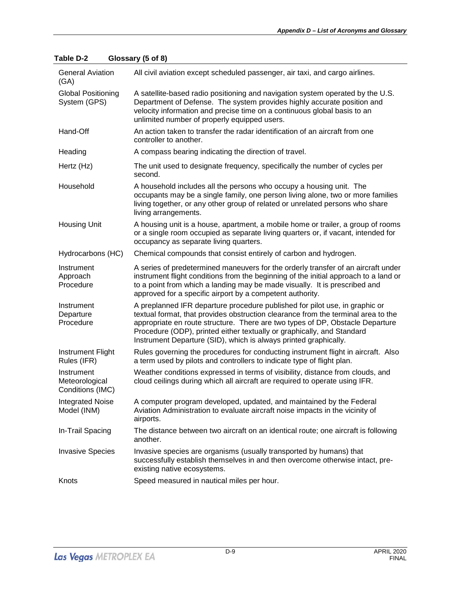| <b>General Aviation</b><br>(GA)                  | All civil aviation except scheduled passenger, air taxi, and cargo airlines.                                                                                                                                                                                                                                                                                                                    |
|--------------------------------------------------|-------------------------------------------------------------------------------------------------------------------------------------------------------------------------------------------------------------------------------------------------------------------------------------------------------------------------------------------------------------------------------------------------|
| <b>Global Positioning</b><br>System (GPS)        | A satellite-based radio positioning and navigation system operated by the U.S.<br>Department of Defense. The system provides highly accurate position and<br>velocity information and precise time on a continuous global basis to an<br>unlimited number of properly equipped users.                                                                                                           |
| Hand-Off                                         | An action taken to transfer the radar identification of an aircraft from one<br>controller to another.                                                                                                                                                                                                                                                                                          |
| Heading                                          | A compass bearing indicating the direction of travel.                                                                                                                                                                                                                                                                                                                                           |
| Hertz (Hz)                                       | The unit used to designate frequency, specifically the number of cycles per<br>second.                                                                                                                                                                                                                                                                                                          |
| Household                                        | A household includes all the persons who occupy a housing unit. The<br>occupants may be a single family, one person living alone, two or more families<br>living together, or any other group of related or unrelated persons who share<br>living arrangements.                                                                                                                                 |
| <b>Housing Unit</b>                              | A housing unit is a house, apartment, a mobile home or trailer, a group of rooms<br>or a single room occupied as separate living quarters or, if vacant, intended for<br>occupancy as separate living quarters.                                                                                                                                                                                 |
| Hydrocarbons (HC)                                | Chemical compounds that consist entirely of carbon and hydrogen.                                                                                                                                                                                                                                                                                                                                |
| Instrument<br>Approach<br>Procedure              | A series of predetermined maneuvers for the orderly transfer of an aircraft under<br>instrument flight conditions from the beginning of the initial approach to a land or<br>to a point from which a landing may be made visually. It is prescribed and<br>approved for a specific airport by a competent authority.                                                                            |
| Instrument<br>Departure<br>Procedure             | A preplanned IFR departure procedure published for pilot use, in graphic or<br>textual format, that provides obstruction clearance from the terminal area to the<br>appropriate en route structure. There are two types of DP, Obstacle Departure<br>Procedure (ODP), printed either textually or graphically, and Standard<br>Instrument Departure (SID), which is always printed graphically. |
| Instrument Flight<br>Rules (IFR)                 | Rules governing the procedures for conducting instrument flight in aircraft. Also<br>a term used by pilots and controllers to indicate type of flight plan.                                                                                                                                                                                                                                     |
| Instrument<br>Meteorological<br>Conditions (IMC) | Weather conditions expressed in terms of visibility, distance from clouds, and<br>cloud ceilings during which all aircraft are required to operate using IFR.                                                                                                                                                                                                                                   |
| <b>Integrated Noise</b><br>Model (INM)           | A computer program developed, updated, and maintained by the Federal<br>Aviation Administration to evaluate aircraft noise impacts in the vicinity of<br>airports.                                                                                                                                                                                                                              |
| In-Trail Spacing                                 | The distance between two aircraft on an identical route; one aircraft is following<br>another.                                                                                                                                                                                                                                                                                                  |
| <b>Invasive Species</b>                          | Invasive species are organisms (usually transported by humans) that<br>successfully establish themselves in and then overcome otherwise intact, pre-<br>existing native ecosystems.                                                                                                                                                                                                             |
| Knots                                            | Speed measured in nautical miles per hour.                                                                                                                                                                                                                                                                                                                                                      |

## **Table D-2 Glossary (5 of 8)**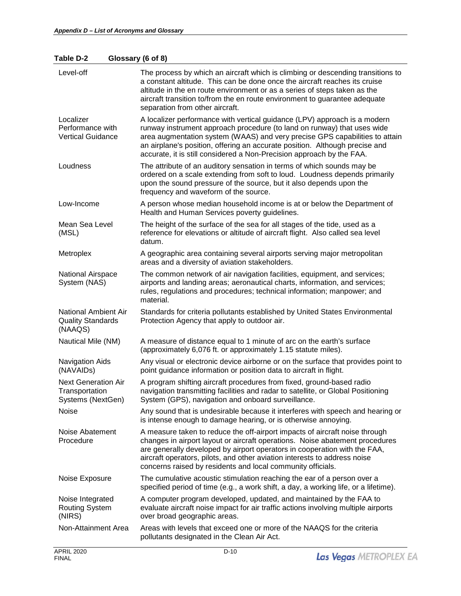## **Table D-2 Glossary (6 of 8)**

| Level-off                                                         | The process by which an aircraft which is climbing or descending transitions to<br>a constant altitude. This can be done once the aircraft reaches its cruise<br>altitude in the en route environment or as a series of steps taken as the<br>aircraft transition to/from the en route environment to guarantee adequate<br>separation from other aircraft.                                 |
|-------------------------------------------------------------------|---------------------------------------------------------------------------------------------------------------------------------------------------------------------------------------------------------------------------------------------------------------------------------------------------------------------------------------------------------------------------------------------|
| Localizer<br>Performance with<br><b>Vertical Guidance</b>         | A localizer performance with vertical guidance (LPV) approach is a modern<br>runway instrument approach procedure (to land on runway) that uses wide<br>area augmentation system (WAAS) and very precise GPS capabilities to attain<br>an airplane's position, offering an accurate position. Although precise and<br>accurate, it is still considered a Non-Precision approach by the FAA. |
| Loudness                                                          | The attribute of an auditory sensation in terms of which sounds may be<br>ordered on a scale extending from soft to loud. Loudness depends primarily<br>upon the sound pressure of the source, but it also depends upon the<br>frequency and waveform of the source.                                                                                                                        |
| Low-Income                                                        | A person whose median household income is at or below the Department of<br>Health and Human Services poverty guidelines.                                                                                                                                                                                                                                                                    |
| Mean Sea Level<br>(MSL)                                           | The height of the surface of the sea for all stages of the tide, used as a<br>reference for elevations or altitude of aircraft flight. Also called sea level<br>datum.                                                                                                                                                                                                                      |
| Metroplex                                                         | A geographic area containing several airports serving major metropolitan<br>areas and a diversity of aviation stakeholders.                                                                                                                                                                                                                                                                 |
| National Airspace<br>System (NAS)                                 | The common network of air navigation facilities, equipment, and services;<br>airports and landing areas; aeronautical charts, information, and services;<br>rules, regulations and procedures; technical information; manpower; and<br>material.                                                                                                                                            |
| National Ambient Air<br><b>Quality Standards</b><br>(NAAQS)       | Standards for criteria pollutants established by United States Environmental<br>Protection Agency that apply to outdoor air.                                                                                                                                                                                                                                                                |
| Nautical Mile (NM)                                                | A measure of distance equal to 1 minute of arc on the earth's surface<br>(approximately 6,076 ft. or approximately 1.15 statute miles).                                                                                                                                                                                                                                                     |
| <b>Navigation Aids</b><br>(NAVAIDs)                               | Any visual or electronic device airborne or on the surface that provides point to<br>point guidance information or position data to aircraft in flight.                                                                                                                                                                                                                                     |
| <b>Next Generation Air</b><br>Transportation<br>Systems (NextGen) | A program shifting aircraft procedures from fixed, ground-based radio<br>navigation transmitting facilities and radar to satellite, or Global Positioning<br>System (GPS), navigation and onboard surveillance.                                                                                                                                                                             |
| Noise                                                             | Any sound that is undesirable because it interferes with speech and hearing or<br>is intense enough to damage hearing, or is otherwise annoying.                                                                                                                                                                                                                                            |
| Noise Abatement<br>Procedure                                      | A measure taken to reduce the off-airport impacts of aircraft noise through<br>changes in airport layout or aircraft operations. Noise abatement procedures<br>are generally developed by airport operators in cooperation with the FAA,<br>aircraft operators, pilots, and other aviation interests to address noise<br>concerns raised by residents and local community officials.        |
| Noise Exposure                                                    | The cumulative acoustic stimulation reaching the ear of a person over a<br>specified period of time (e.g., a work shift, a day, a working life, or a lifetime).                                                                                                                                                                                                                             |
| Noise Integrated<br><b>Routing System</b><br>(NIRS)               | A computer program developed, updated, and maintained by the FAA to<br>evaluate aircraft noise impact for air traffic actions involving multiple airports<br>over broad geographic areas.                                                                                                                                                                                                   |
| Non-Attainment Area                                               | Areas with levels that exceed one or more of the NAAQS for the criteria<br>pollutants designated in the Clean Air Act.                                                                                                                                                                                                                                                                      |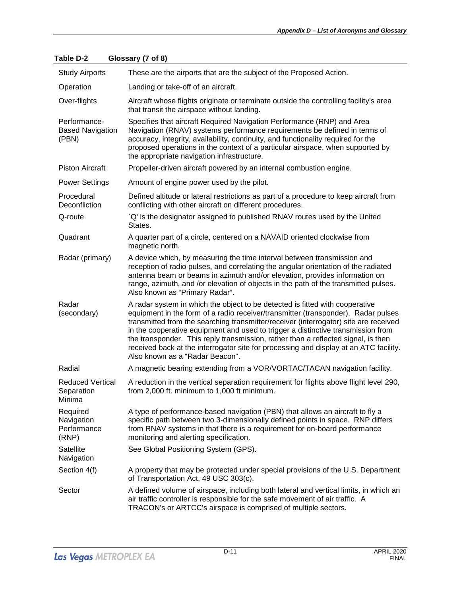| <b>Study Airports</b>                            | These are the airports that are the subject of the Proposed Action.                                                                                                                                                                                                                                                                                                                                                                                                                                                                                            |
|--------------------------------------------------|----------------------------------------------------------------------------------------------------------------------------------------------------------------------------------------------------------------------------------------------------------------------------------------------------------------------------------------------------------------------------------------------------------------------------------------------------------------------------------------------------------------------------------------------------------------|
| Operation                                        | Landing or take-off of an aircraft.                                                                                                                                                                                                                                                                                                                                                                                                                                                                                                                            |
| Over-flights                                     | Aircraft whose flights originate or terminate outside the controlling facility's area<br>that transit the airspace without landing.                                                                                                                                                                                                                                                                                                                                                                                                                            |
| Performance-<br><b>Based Navigation</b><br>(PBN) | Specifies that aircraft Required Navigation Performance (RNP) and Area<br>Navigation (RNAV) systems performance requirements be defined in terms of<br>accuracy, integrity, availability, continuity, and functionality required for the<br>proposed operations in the context of a particular airspace, when supported by<br>the appropriate navigation infrastructure.                                                                                                                                                                                       |
| <b>Piston Aircraft</b>                           | Propeller-driven aircraft powered by an internal combustion engine.                                                                                                                                                                                                                                                                                                                                                                                                                                                                                            |
| <b>Power Settings</b>                            | Amount of engine power used by the pilot.                                                                                                                                                                                                                                                                                                                                                                                                                                                                                                                      |
| Procedural<br>Deconfliction                      | Defined altitude or lateral restrictions as part of a procedure to keep aircraft from<br>conflicting with other aircraft on different procedures.                                                                                                                                                                                                                                                                                                                                                                                                              |
| Q-route                                          | `Q' is the designator assigned to published RNAV routes used by the United<br>States.                                                                                                                                                                                                                                                                                                                                                                                                                                                                          |
| Quadrant                                         | A quarter part of a circle, centered on a NAVAID oriented clockwise from<br>magnetic north.                                                                                                                                                                                                                                                                                                                                                                                                                                                                    |
| Radar (primary)                                  | A device which, by measuring the time interval between transmission and<br>reception of radio pulses, and correlating the angular orientation of the radiated<br>antenna beam or beams in azimuth and/or elevation, provides information on<br>range, azimuth, and /or elevation of objects in the path of the transmitted pulses.<br>Also known as "Primary Radar".                                                                                                                                                                                           |
| Radar<br>(secondary)                             | A radar system in which the object to be detected is fitted with cooperative<br>equipment in the form of a radio receiver/transmitter (transponder). Radar pulses<br>transmitted from the searching transmitter/receiver (interrogator) site are received<br>in the cooperative equipment and used to trigger a distinctive transmission from<br>the transponder. This reply transmission, rather than a reflected signal, is then<br>received back at the interrogator site for processing and display at an ATC facility.<br>Also known as a "Radar Beacon". |
| Radial                                           | A magnetic bearing extending from a VOR/VORTAC/TACAN navigation facility.                                                                                                                                                                                                                                                                                                                                                                                                                                                                                      |
| <b>Reduced Vertical</b><br>Separation<br>Minima  | A reduction in the vertical separation requirement for flights above flight level 290,<br>from 2,000 ft. minimum to 1,000 ft minimum.                                                                                                                                                                                                                                                                                                                                                                                                                          |
| Required<br>Navigation<br>Performance<br>(RNP)   | A type of performance-based navigation (PBN) that allows an aircraft to fly a<br>specific path between two 3-dimensionally defined points in space. RNP differs<br>from RNAV systems in that there is a requirement for on-board performance<br>monitoring and alerting specification.                                                                                                                                                                                                                                                                         |
| Satellite<br>Navigation                          | See Global Positioning System (GPS).                                                                                                                                                                                                                                                                                                                                                                                                                                                                                                                           |
| Section 4(f)                                     | A property that may be protected under special provisions of the U.S. Department<br>of Transportation Act, 49 USC 303(c).                                                                                                                                                                                                                                                                                                                                                                                                                                      |
| Sector                                           | A defined volume of airspace, including both lateral and vertical limits, in which an<br>air traffic controller is responsible for the safe movement of air traffic. A<br>TRACON's or ARTCC's airspace is comprised of multiple sectors.                                                                                                                                                                                                                                                                                                                       |

## **Table D-2 Glossary (7 of 8)**